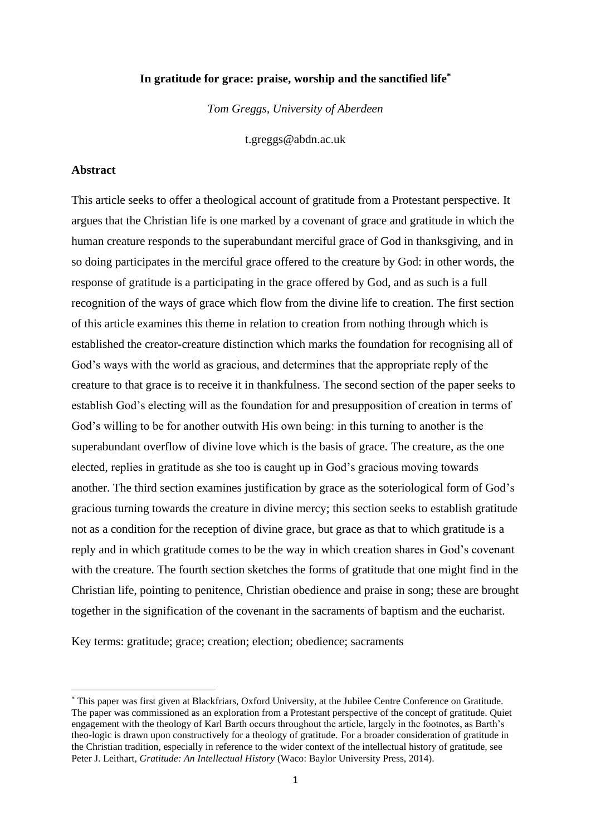## **In gratitude for grace: praise, worship and the sanctified life\***

*Tom Greggs, University of Aberdeen*

t.greggs@abdn.ac.uk

### **Abstract**

This article seeks to offer a theological account of gratitude from a Protestant perspective. It argues that the Christian life is one marked by a covenant of grace and gratitude in which the human creature responds to the superabundant merciful grace of God in thanksgiving, and in so doing participates in the merciful grace offered to the creature by God: in other words, the response of gratitude is a participating in the grace offered by God, and as such is a full recognition of the ways of grace which flow from the divine life to creation. The first section of this article examines this theme in relation to creation from nothing through which is established the creator-creature distinction which marks the foundation for recognising all of God's ways with the world as gracious, and determines that the appropriate reply of the creature to that grace is to receive it in thankfulness. The second section of the paper seeks to establish God's electing will as the foundation for and presupposition of creation in terms of God's willing to be for another outwith His own being: in this turning to another is the superabundant overflow of divine love which is the basis of grace. The creature, as the one elected, replies in gratitude as she too is caught up in God's gracious moving towards another. The third section examines justification by grace as the soteriological form of God's gracious turning towards the creature in divine mercy; this section seeks to establish gratitude not as a condition for the reception of divine grace, but grace as that to which gratitude is a reply and in which gratitude comes to be the way in which creation shares in God's covenant with the creature. The fourth section sketches the forms of gratitude that one might find in the Christian life, pointing to penitence, Christian obedience and praise in song; these are brought together in the signification of the covenant in the sacraments of baptism and the eucharist.

Key terms: gratitude; grace; creation; election; obedience; sacraments

<sup>\*</sup> This paper was first given at Blackfriars, Oxford University, at the Jubilee Centre Conference on Gratitude. The paper was commissioned as an exploration from a Protestant perspective of the concept of gratitude. Quiet engagement with the theology of Karl Barth occurs throughout the article, largely in the footnotes, as Barth's theo-logic is drawn upon constructively for a theology of gratitude. For a broader consideration of gratitude in the Christian tradition, especially in reference to the wider context of the intellectual history of gratitude, see Peter J. Leithart, *Gratitude: An Intellectual History* (Waco: Baylor University Press, 2014).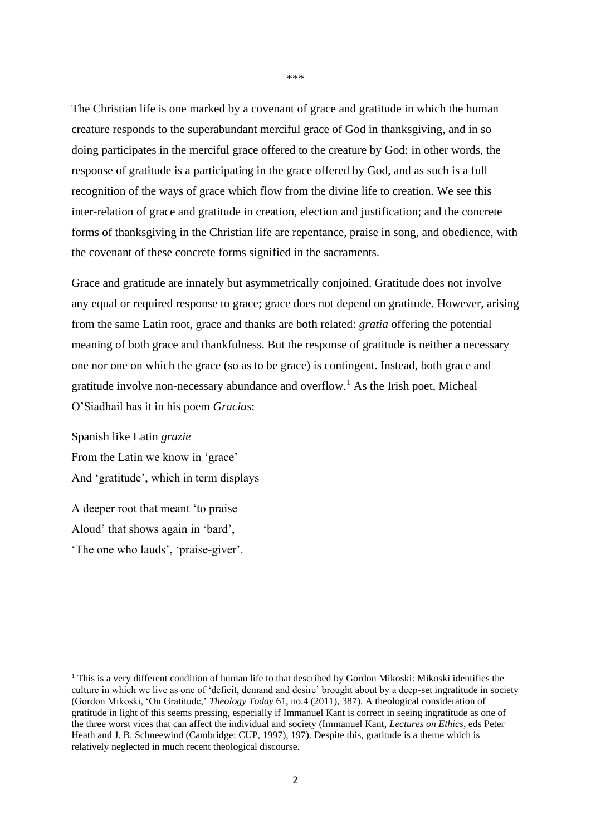The Christian life is one marked by a covenant of grace and gratitude in which the human creature responds to the superabundant merciful grace of God in thanksgiving, and in so doing participates in the merciful grace offered to the creature by God: in other words, the response of gratitude is a participating in the grace offered by God, and as such is a full recognition of the ways of grace which flow from the divine life to creation. We see this inter-relation of grace and gratitude in creation, election and justification; and the concrete forms of thanksgiving in the Christian life are repentance, praise in song, and obedience, with the covenant of these concrete forms signified in the sacraments.

Grace and gratitude are innately but asymmetrically conjoined. Gratitude does not involve any equal or required response to grace; grace does not depend on gratitude. However, arising from the same Latin root, grace and thanks are both related: *gratia* offering the potential meaning of both grace and thankfulness. But the response of gratitude is neither a necessary one nor one on which the grace (so as to be grace) is contingent. Instead, both grace and gratitude involve non-necessary abundance and overflow.<sup>1</sup> As the Irish poet, Micheal O'Siadhail has it in his poem *Gracias*:

Spanish like Latin *grazie* From the Latin we know in 'grace' And 'gratitude', which in term displays

A deeper root that meant 'to praise Aloud' that shows again in 'bard', 'The one who lauds', 'praise-giver'.

 $1$  This is a very different condition of human life to that described by Gordon Mikoski: Mikoski identifies the culture in which we live as one of 'deficit, demand and desire' brought about by a deep-set ingratitude in society (Gordon Mikoski, 'On Gratitude,' *Theology Today* 61, no.4 (2011), 387). A theological consideration of gratitude in light of this seems pressing, especially if Immanuel Kant is correct in seeing ingratitude as one of the three worst vices that can affect the individual and society (Immanuel Kant, *Lectures on Ethics*, eds Peter Heath and J. B. Schneewind (Cambridge: CUP, 1997), 197). Despite this, gratitude is a theme which is relatively neglected in much recent theological discourse.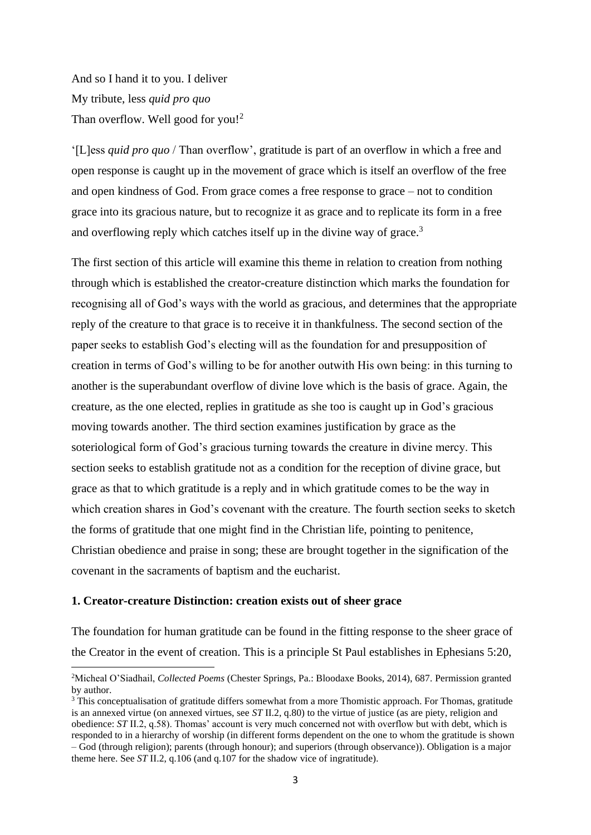And so I hand it to you. I deliver My tribute, less *quid pro quo* Than overflow. Well good for you!<sup>2</sup>

'[L]ess *quid pro quo* / Than overflow', gratitude is part of an overflow in which a free and open response is caught up in the movement of grace which is itself an overflow of the free and open kindness of God. From grace comes a free response to grace – not to condition grace into its gracious nature, but to recognize it as grace and to replicate its form in a free and overflowing reply which catches itself up in the divine way of grace.<sup>3</sup>

The first section of this article will examine this theme in relation to creation from nothing through which is established the creator-creature distinction which marks the foundation for recognising all of God's ways with the world as gracious, and determines that the appropriate reply of the creature to that grace is to receive it in thankfulness. The second section of the paper seeks to establish God's electing will as the foundation for and presupposition of creation in terms of God's willing to be for another outwith His own being: in this turning to another is the superabundant overflow of divine love which is the basis of grace. Again, the creature, as the one elected, replies in gratitude as she too is caught up in God's gracious moving towards another. The third section examines justification by grace as the soteriological form of God's gracious turning towards the creature in divine mercy. This section seeks to establish gratitude not as a condition for the reception of divine grace, but grace as that to which gratitude is a reply and in which gratitude comes to be the way in which creation shares in God's covenant with the creature. The fourth section seeks to sketch the forms of gratitude that one might find in the Christian life, pointing to penitence, Christian obedience and praise in song; these are brought together in the signification of the covenant in the sacraments of baptism and the eucharist.

### **1. Creator-creature Distinction: creation exists out of sheer grace**

The foundation for human gratitude can be found in the fitting response to the sheer grace of the Creator in the event of creation. This is a principle St Paul establishes in Ephesians 5:20,

<sup>2</sup>Micheal O'Siadhail, *Collected Poems* (Chester Springs, Pa.: Bloodaxe Books, 2014), 687. Permission granted by author.

<sup>&</sup>lt;sup>3</sup> This conceptualisation of gratitude differs somewhat from a more Thomistic approach. For Thomas, gratitude is an annexed virtue (on annexed virtues, see *ST* II.2, q.80) to the virtue of justice (as are piety, religion and obedience: *ST* II.2, q.58). Thomas' account is very much concerned not with overflow but with debt, which is responded to in a hierarchy of worship (in different forms dependent on the one to whom the gratitude is shown – God (through religion); parents (through honour); and superiors (through observance)). Obligation is a major theme here. See *ST* II.2, q.106 (and q.107 for the shadow vice of ingratitude).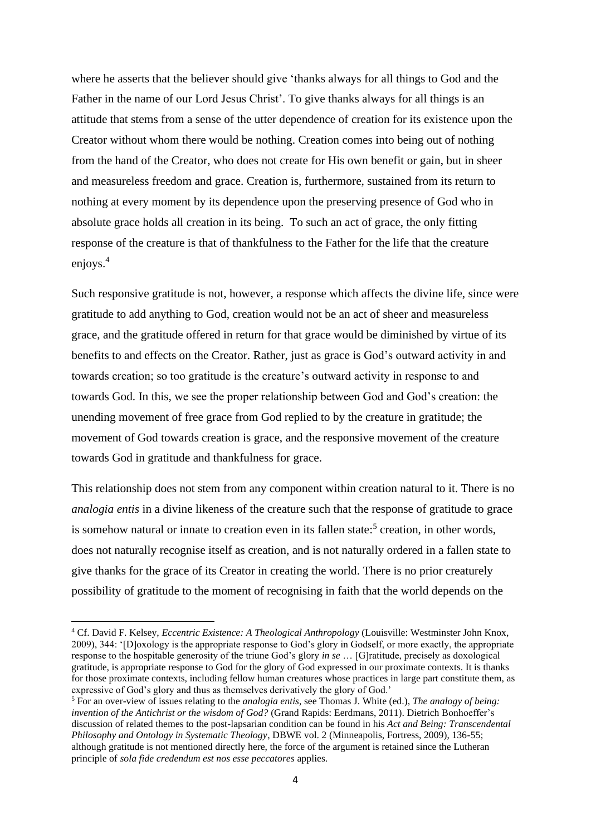where he asserts that the believer should give 'thanks always for all things to God and the Father in the name of our Lord Jesus Christ'. To give thanks always for all things is an attitude that stems from a sense of the utter dependence of creation for its existence upon the Creator without whom there would be nothing. Creation comes into being out of nothing from the hand of the Creator, who does not create for His own benefit or gain, but in sheer and measureless freedom and grace. Creation is, furthermore, sustained from its return to nothing at every moment by its dependence upon the preserving presence of God who in absolute grace holds all creation in its being. To such an act of grace, the only fitting response of the creature is that of thankfulness to the Father for the life that the creature enjoys.<sup>4</sup>

Such responsive gratitude is not, however, a response which affects the divine life, since were gratitude to add anything to God, creation would not be an act of sheer and measureless grace, and the gratitude offered in return for that grace would be diminished by virtue of its benefits to and effects on the Creator. Rather, just as grace is God's outward activity in and towards creation; so too gratitude is the creature's outward activity in response to and towards God. In this, we see the proper relationship between God and God's creation: the unending movement of free grace from God replied to by the creature in gratitude; the movement of God towards creation is grace, and the responsive movement of the creature towards God in gratitude and thankfulness for grace.

This relationship does not stem from any component within creation natural to it. There is no *analogia entis* in a divine likeness of the creature such that the response of gratitude to grace is somehow natural or innate to creation even in its fallen state:<sup>5</sup> creation, in other words, does not naturally recognise itself as creation, and is not naturally ordered in a fallen state to give thanks for the grace of its Creator in creating the world. There is no prior creaturely possibility of gratitude to the moment of recognising in faith that the world depends on the

<sup>4</sup> Cf. David F. Kelsey, *Eccentric Existence: A Theological Anthropology* (Louisville: Westminster John Knox, 2009), 344: '[D]oxology is the appropriate response to God's glory in Godself, or more exactly, the appropriate response to the hospitable generosity of the triune God's glory *in se* … [G]ratitude, precisely as doxological gratitude, is appropriate response to God for the glory of God expressed in our proximate contexts. It is thanks for those proximate contexts, including fellow human creatures whose practices in large part constitute them, as expressive of God's glory and thus as themselves derivatively the glory of God.'

<sup>5</sup> For an over-view of issues relating to the *analogia entis*, see Thomas J. White (ed.), *The analogy of being: invention of the Antichrist or the wisdom of God?* (Grand Rapids: Eerdmans, 2011). Dietrich Bonhoeffer's discussion of related themes to the post-lapsarian condition can be found in his *Act and Being: Transcendental Philosophy and Ontology in Systematic Theology*, DBWE vol. 2 (Minneapolis, Fortress, 2009), 136-55; although gratitude is not mentioned directly here, the force of the argument is retained since the Lutheran principle of *sola fide credendum est nos esse peccatores* applies.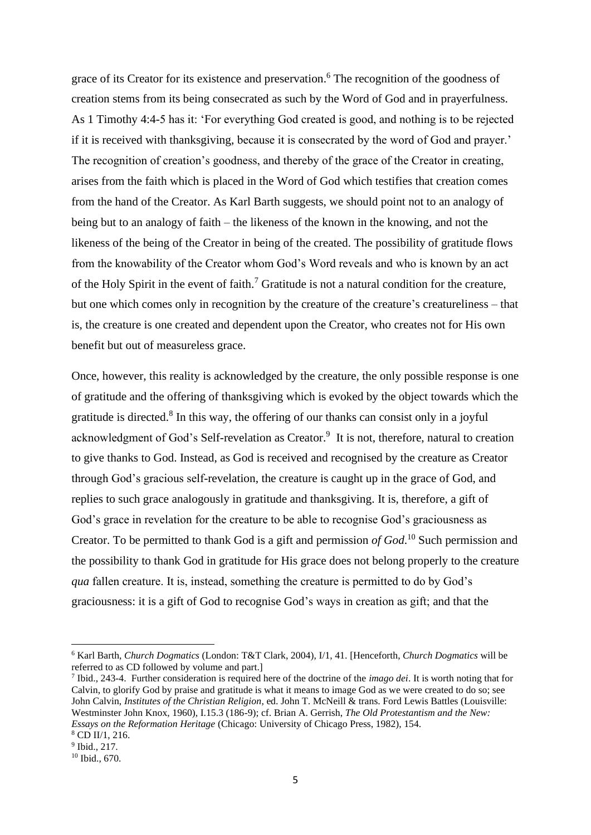grace of its Creator for its existence and preservation. <sup>6</sup> The recognition of the goodness of creation stems from its being consecrated as such by the Word of God and in prayerfulness. As 1 Timothy 4:4-5 has it: 'For everything God created is good, and nothing is to be rejected if it is received with thanksgiving, because it is consecrated by the word of God and prayer.' The recognition of creation's goodness, and thereby of the grace of the Creator in creating, arises from the faith which is placed in the Word of God which testifies that creation comes from the hand of the Creator. As Karl Barth suggests, we should point not to an analogy of being but to an analogy of faith – the likeness of the known in the knowing, and not the likeness of the being of the Creator in being of the created. The possibility of gratitude flows from the knowability of the Creator whom God's Word reveals and who is known by an act of the Holy Spirit in the event of faith.<sup>7</sup> Gratitude is not a natural condition for the creature, but one which comes only in recognition by the creature of the creature's creatureliness – that is, the creature is one created and dependent upon the Creator, who creates not for His own benefit but out of measureless grace.

Once, however, this reality is acknowledged by the creature, the only possible response is one of gratitude and the offering of thanksgiving which is evoked by the object towards which the gratitude is directed.<sup>8</sup> In this way, the offering of our thanks can consist only in a joyful acknowledgment of God's Self-revelation as Creator.<sup>9</sup> It is not, therefore, natural to creation to give thanks to God. Instead, as God is received and recognised by the creature as Creator through God's gracious self-revelation, the creature is caught up in the grace of God, and replies to such grace analogously in gratitude and thanksgiving. It is, therefore, a gift of God's grace in revelation for the creature to be able to recognise God's graciousness as Creator. To be permitted to thank God is a gift and permission *of God*. <sup>10</sup> Such permission and the possibility to thank God in gratitude for His grace does not belong properly to the creature *qua* fallen creature. It is, instead, something the creature is permitted to do by God's graciousness: it is a gift of God to recognise God's ways in creation as gift; and that the

7 Ibid., 243-4. Further consideration is required here of the doctrine of the *imago dei*. It is worth noting that for Calvin, to glorify God by praise and gratitude is what it means to image God as we were created to do so; see John Calvin, *Institutes of the Christian Religion*, ed. John T. McNeill & trans. Ford Lewis Battles (Louisville: Westminster John Knox, 1960), I.15.3 (186-9); cf. Brian A. Gerrish, *The Old Protestantism and the New: Essays on the Reformation Heritage* (Chicago: University of Chicago Press, 1982), 154. <sup>8</sup> CD II/1, 216.

<sup>6</sup> Karl Barth, *Church Dogmatics* (London: T&T Clark, 2004), I/1, 41. [Henceforth, *Church Dogmatics* will be referred to as CD followed by volume and part.]

<sup>&</sup>lt;sup>9</sup> Ibid., 217.

<sup>10</sup> Ibid., 670.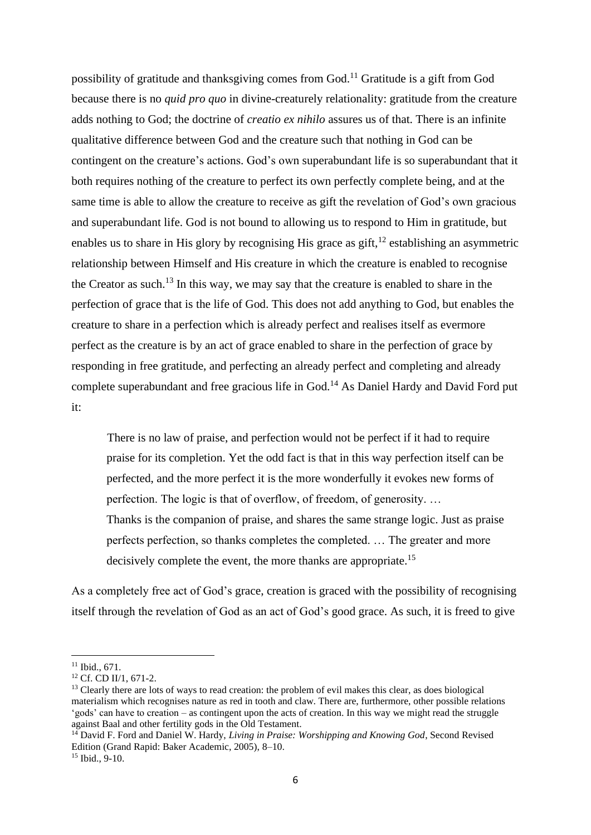possibility of gratitude and thanksgiving comes from  $God.^{11}$  Gratitude is a gift from  $God$ because there is no *quid pro quo* in divine-creaturely relationality: gratitude from the creature adds nothing to God; the doctrine of *creatio ex nihilo* assures us of that. There is an infinite qualitative difference between God and the creature such that nothing in God can be contingent on the creature's actions. God's own superabundant life is so superabundant that it both requires nothing of the creature to perfect its own perfectly complete being, and at the same time is able to allow the creature to receive as gift the revelation of God's own gracious and superabundant life. God is not bound to allowing us to respond to Him in gratitude, but enables us to share in His glory by recognising His grace as gift,  $^{12}$  establishing an asymmetric relationship between Himself and His creature in which the creature is enabled to recognise the Creator as such.<sup>13</sup> In this way, we may say that the creature is enabled to share in the perfection of grace that is the life of God. This does not add anything to God, but enables the creature to share in a perfection which is already perfect and realises itself as evermore perfect as the creature is by an act of grace enabled to share in the perfection of grace by responding in free gratitude, and perfecting an already perfect and completing and already complete superabundant and free gracious life in God.<sup>14</sup> As Daniel Hardy and David Ford put it:

There is no law of praise, and perfection would not be perfect if it had to require praise for its completion. Yet the odd fact is that in this way perfection itself can be perfected, and the more perfect it is the more wonderfully it evokes new forms of perfection. The logic is that of overflow, of freedom, of generosity. … Thanks is the companion of praise, and shares the same strange logic. Just as praise perfects perfection, so thanks completes the completed. … The greater and more decisively complete the event, the more thanks are appropriate.<sup>15</sup>

As a completely free act of God's grace, creation is graced with the possibility of recognising itself through the revelation of God as an act of God's good grace. As such, it is freed to give

 $11$  Ibid., 671.

<sup>&</sup>lt;sup>12</sup> Cf. CD II/1, 671-2.

<sup>&</sup>lt;sup>13</sup> Clearly there are lots of ways to read creation: the problem of evil makes this clear, as does biological materialism which recognises nature as red in tooth and claw. There are, furthermore, other possible relations 'gods' can have to creation – as contingent upon the acts of creation. In this way we might read the struggle against Baal and other fertility gods in the Old Testament.

<sup>14</sup> David F. Ford and Daniel W. Hardy, *Living in Praise: Worshipping and Knowing God*, Second Revised Edition (Grand Rapid: Baker Academic, 2005), 8–10.

 $15$  Ibid., 9-10.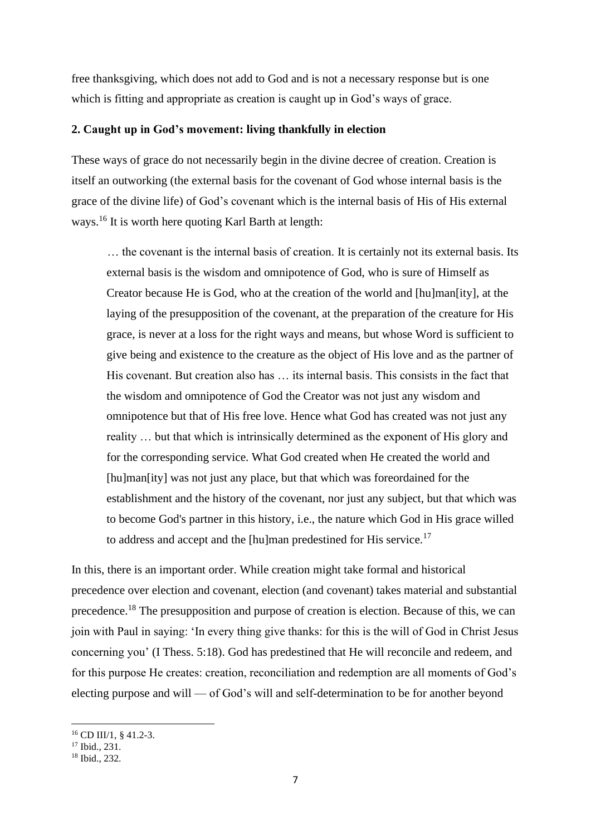free thanksgiving, which does not add to God and is not a necessary response but is one which is fitting and appropriate as creation is caught up in God's ways of grace.

## **2. Caught up in God's movement: living thankfully in election**

These ways of grace do not necessarily begin in the divine decree of creation. Creation is itself an outworking (the external basis for the covenant of God whose internal basis is the grace of the divine life) of God's covenant which is the internal basis of His of His external ways.<sup>16</sup> It is worth here quoting Karl Barth at length:

… the covenant is the internal basis of creation. It is certainly not its external basis. Its external basis is the wisdom and omnipotence of God, who is sure of Himself as Creator because He is God, who at the creation of the world and [hu]man[ity], at the laying of the presupposition of the covenant, at the preparation of the creature for His grace, is never at a loss for the right ways and means, but whose Word is sufficient to give being and existence to the creature as the object of His love and as the partner of His covenant. But creation also has … its internal basis. This consists in the fact that the wisdom and omnipotence of God the Creator was not just any wisdom and omnipotence but that of His free love. Hence what God has created was not just any reality … but that which is intrinsically determined as the exponent of His glory and for the corresponding service. What God created when He created the world and [hu]man[ity] was not just any place, but that which was foreordained for the establishment and the history of the covenant, nor just any subject, but that which was to become God's partner in this history, i.e., the nature which God in His grace willed to address and accept and the [hu]man predestined for His service.<sup>17</sup>

In this, there is an important order. While creation might take formal and historical precedence over election and covenant, election (and covenant) takes material and substantial precedence.<sup>18</sup> The presupposition and purpose of creation is election. Because of this, we can join with Paul in saying: 'In every thing give thanks: for this is the will of God in Christ Jesus concerning you' (I Thess. 5:18). God has predestined that He will reconcile and redeem, and for this purpose He creates: creation, reconciliation and redemption are all moments of God's electing purpose and will — of God's will and self-determination to be for another beyond

<sup>16</sup> CD III/1, § 41.2-3.

 $17$  Ibid., 231.

 $18$  Ibid., 232.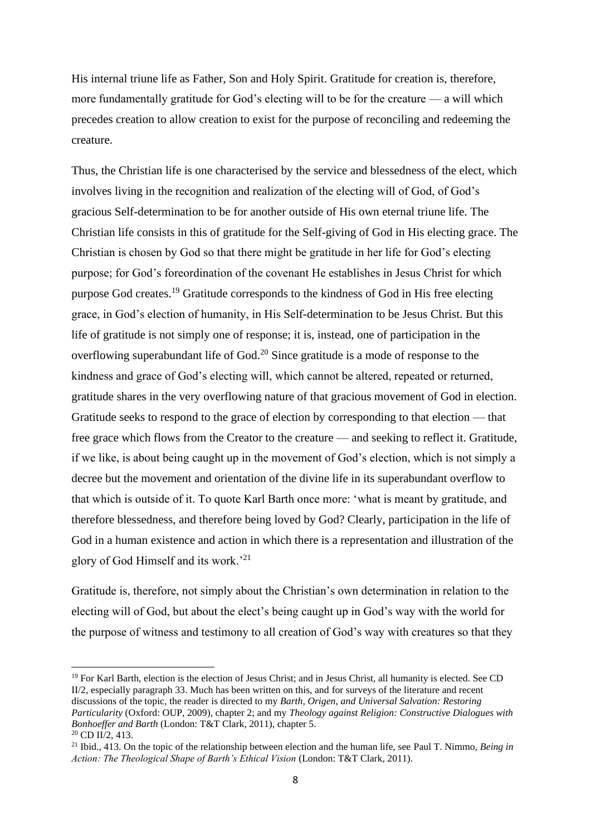His internal triune life as Father, Son and Holy Spirit. Gratitude for creation is, therefore, more fundamentally gratitude for God's electing will to be for the creature — a will which precedes creation to allow creation to exist for the purpose of reconciling and redeeming the creature.

Thus, the Christian life is one characterised by the service and blessedness of the elect, which involves living in the recognition and realization of the electing will of God, of God's gracious Self-determination to be for another outside of His own eternal triune life. The Christian life consists in this of gratitude for the Self-giving of God in His electing grace. The Christian is chosen by God so that there might be gratitude in her life for God's electing purpose; for God's foreordination of the covenant He establishes in Jesus Christ for which purpose God creates.<sup>19</sup> Gratitude corresponds to the kindness of God in His free electing grace, in God's election of humanity, in His Self-determination to be Jesus Christ. But this life of gratitude is not simply one of response; it is, instead, one of participation in the overflowing superabundant life of  $God<sup>20</sup>$  Since gratitude is a mode of response to the kindness and grace of God's electing will, which cannot be altered, repeated or returned, gratitude shares in the very overflowing nature of that gracious movement of God in election. Gratitude seeks to respond to the grace of election by corresponding to that election — that free grace which flows from the Creator to the creature — and seeking to reflect it. Gratitude, if we like, is about being caught up in the movement of God's election, which is not simply a decree but the movement and orientation of the divine life in its superabundant overflow to that which is outside of it. To quote Karl Barth once more: 'what is meant by gratitude, and therefore blessedness, and therefore being loved by God? Clearly, participation in the life of God in a human existence and action in which there is a representation and illustration of the glory of God Himself and its work.'<sup>21</sup>

Gratitude is, therefore, not simply about the Christian's own determination in relation to the electing will of God, but about the elect's being caught up in God's way with the world for the purpose of witness and testimony to all creation of God's way with creatures so that they

 $19$  For Karl Barth, election is the election of Jesus Christ; and in Jesus Christ, all humanity is elected. See CD II/2, especially paragraph 33. Much has been written on this, and for surveys of the literature and recent discussions of the topic, the reader is directed to my *Barth, Origen, and Universal Salvation: Restoring Particularity* (Oxford: OUP, 2009), chapter 2; and my *Theology against Religion: Constructive Dialogues with Bonhoeffer and Barth* (London: T&T Clark, 2011), chapter 5.

 $20$  CD II/2, 413.

<sup>21</sup> Ibid., 413. On the topic of the relationship between election and the human life, see Paul T. Nimmo, *Being in Action: The Theological Shape of Barth's Ethical Vision* (London: T&T Clark, 2011).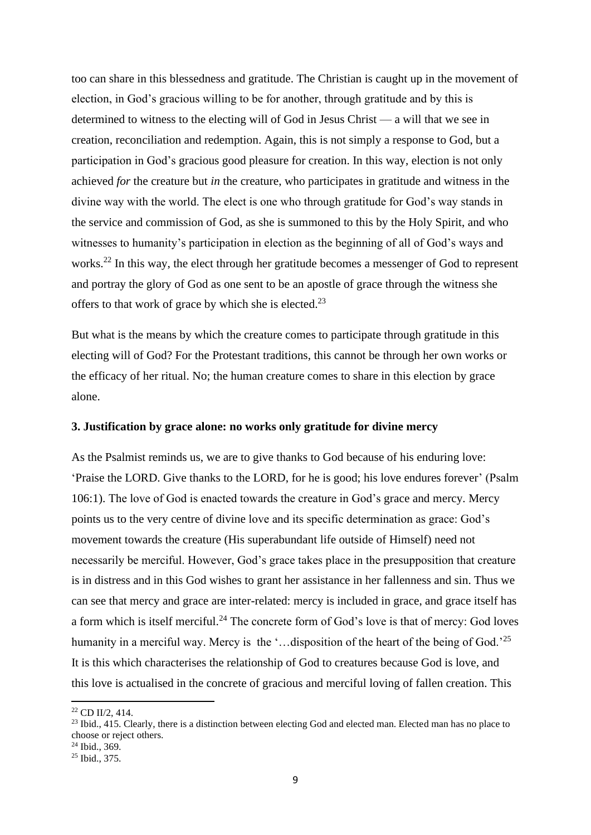too can share in this blessedness and gratitude. The Christian is caught up in the movement of election, in God's gracious willing to be for another, through gratitude and by this is determined to witness to the electing will of God in Jesus Christ — a will that we see in creation, reconciliation and redemption. Again, this is not simply a response to God, but a participation in God's gracious good pleasure for creation. In this way, election is not only achieved *for* the creature but *in* the creature, who participates in gratitude and witness in the divine way with the world. The elect is one who through gratitude for God's way stands in the service and commission of God, as she is summoned to this by the Holy Spirit, and who witnesses to humanity's participation in election as the beginning of all of God's ways and works.<sup>22</sup> In this way, the elect through her gratitude becomes a messenger of God to represent and portray the glory of God as one sent to be an apostle of grace through the witness she offers to that work of grace by which she is elected.<sup>23</sup>

But what is the means by which the creature comes to participate through gratitude in this electing will of God? For the Protestant traditions, this cannot be through her own works or the efficacy of her ritual. No; the human creature comes to share in this election by grace alone.

### **3. Justification by grace alone: no works only gratitude for divine mercy**

As the Psalmist reminds us, we are to give thanks to God because of his enduring love: 'Praise the LORD. Give thanks to the LORD, for he is good; his love endures forever' (Psalm 106:1). The love of God is enacted towards the creature in God's grace and mercy. Mercy points us to the very centre of divine love and its specific determination as grace: God's movement towards the creature (His superabundant life outside of Himself) need not necessarily be merciful. However, God's grace takes place in the presupposition that creature is in distress and in this God wishes to grant her assistance in her fallenness and sin. Thus we can see that mercy and grace are inter-related: mercy is included in grace, and grace itself has a form which is itself merciful.<sup>24</sup> The concrete form of God's love is that of mercy: God loves humanity in a merciful way. Mercy is the '... disposition of the heart of the being of God.<sup>25</sup> It is this which characterises the relationship of God to creatures because God is love, and this love is actualised in the concrete of gracious and merciful loving of fallen creation. This

<sup>22</sup> CD II/2, 414.

 $23$  Ibid., 415. Clearly, there is a distinction between electing God and elected man. Elected man has no place to choose or reject others.

 $24$  Ibid., 369.

<sup>25</sup> Ibid., 375.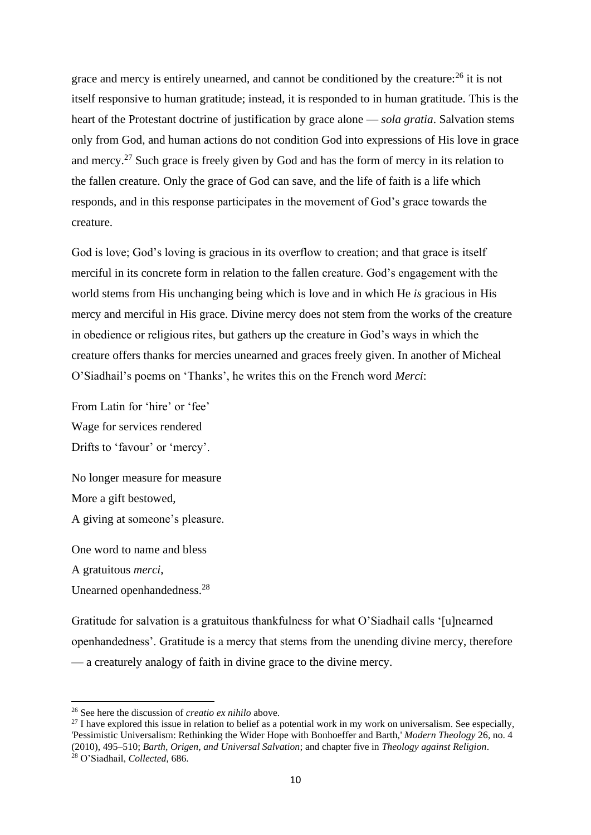grace and mercy is entirely unearned, and cannot be conditioned by the creature:<sup>26</sup> it is not itself responsive to human gratitude; instead, it is responded to in human gratitude. This is the heart of the Protestant doctrine of justification by grace alone — *sola gratia*. Salvation stems only from God, and human actions do not condition God into expressions of His love in grace and mercy.<sup>27</sup> Such grace is freely given by God and has the form of mercy in its relation to the fallen creature. Only the grace of God can save, and the life of faith is a life which responds, and in this response participates in the movement of God's grace towards the creature.

God is love; God's loving is gracious in its overflow to creation; and that grace is itself merciful in its concrete form in relation to the fallen creature. God's engagement with the world stems from His unchanging being which is love and in which He *is* gracious in His mercy and merciful in His grace. Divine mercy does not stem from the works of the creature in obedience or religious rites, but gathers up the creature in God's ways in which the creature offers thanks for mercies unearned and graces freely given. In another of Micheal O'Siadhail's poems on 'Thanks', he writes this on the French word *Merci*:

From Latin for 'hire' or 'fee' Wage for services rendered Drifts to 'favour' or 'mercy'.

No longer measure for measure More a gift bestowed, A giving at someone's pleasure.

One word to name and bless A gratuitous *merci*, Unearned openhandedness.<sup>28</sup>

Gratitude for salvation is a gratuitous thankfulness for what O'Siadhail calls '[u]nearned openhandedness'. Gratitude is a mercy that stems from the unending divine mercy, therefore — a creaturely analogy of faith in divine grace to the divine mercy.

<sup>26</sup> See here the discussion of *creatio ex nihilo* above.

 $27$  I have explored this issue in relation to belief as a potential work in my work on universalism. See especially, 'Pessimistic Universalism: Rethinking the Wider Hope with Bonhoeffer and Barth,' *Modern Theology* 26, no. 4 (2010), 495–510; *Barth, Origen, and Universal Salvation*; and chapter five in *Theology against Religion*. <sup>28</sup> O'Siadhail, *Collected*, 686.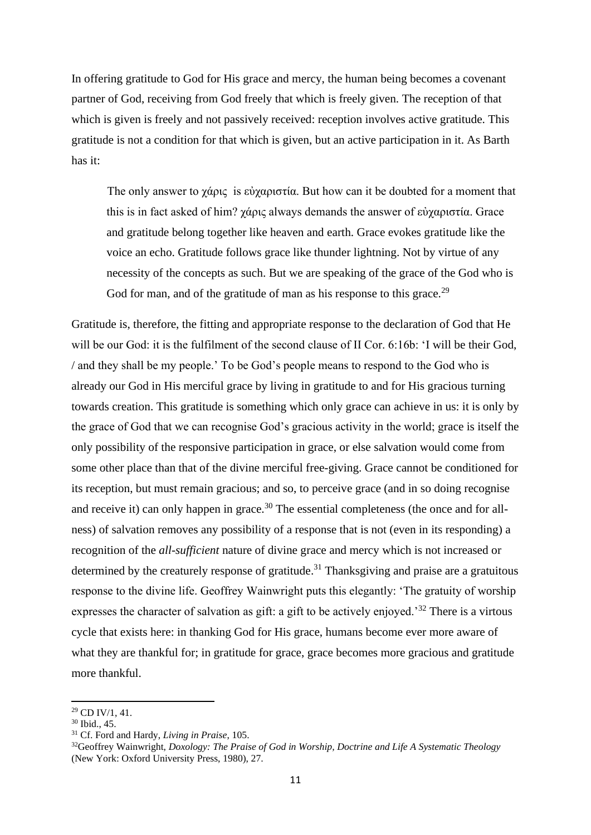In offering gratitude to God for His grace and mercy, the human being becomes a covenant partner of God, receiving from God freely that which is freely given. The reception of that which is given is freely and not passively received: reception involves active gratitude. This gratitude is not a condition for that which is given, but an active participation in it. As Barth has it:

The only answer to χάρις is εὐχαριστία. But how can it be doubted for a moment that this is in fact asked of him? χάρις always demands the answer of εὐχαριστία. Grace and gratitude belong together like heaven and earth. Grace evokes gratitude like the voice an echo. Gratitude follows grace like thunder lightning. Not by virtue of any necessity of the concepts as such. But we are speaking of the grace of the God who is God for man, and of the gratitude of man as his response to this grace.<sup>29</sup>

Gratitude is, therefore, the fitting and appropriate response to the declaration of God that He will be our God: it is the fulfilment of the second clause of II Cor. 6:16b: 'I will be their God, / and they shall be my people.' To be God's people means to respond to the God who is already our God in His merciful grace by living in gratitude to and for His gracious turning towards creation. This gratitude is something which only grace can achieve in us: it is only by the grace of God that we can recognise God's gracious activity in the world; grace is itself the only possibility of the responsive participation in grace, or else salvation would come from some other place than that of the divine merciful free-giving. Grace cannot be conditioned for its reception, but must remain gracious; and so, to perceive grace (and in so doing recognise and receive it) can only happen in grace.<sup>30</sup> The essential completeness (the once and for allness) of salvation removes any possibility of a response that is not (even in its responding) a recognition of the *all-sufficient* nature of divine grace and mercy which is not increased or determined by the creaturely response of gratitude.<sup>31</sup> Thanksgiving and praise are a gratuitous response to the divine life. Geoffrey Wainwright puts this elegantly: 'The gratuity of worship expresses the character of salvation as gift: a gift to be actively enjoyed.'<sup>32</sup> There is a virtous cycle that exists here: in thanking God for His grace, humans become ever more aware of what they are thankful for; in gratitude for grace, grace becomes more gracious and gratitude more thankful.

 $29$  CD IV/1, 41.

 $30$  Ibid., 45.

<sup>31</sup> Cf. Ford and Hardy, *Living in Praise*, 105.

<sup>32</sup>Geoffrey Wainwright, *Doxology: The Praise of God in Worship, Doctrine and Life A Systematic Theology* (New York: Oxford University Press, 1980), 27.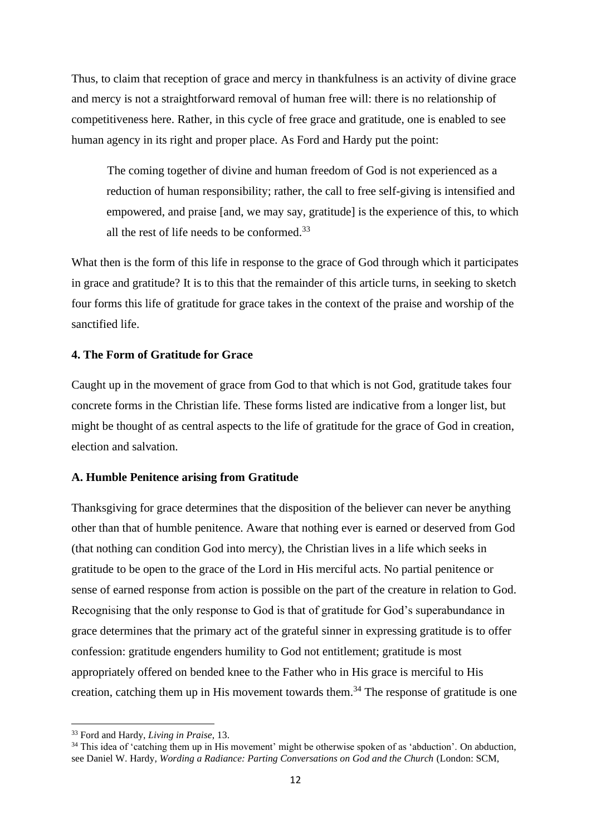Thus, to claim that reception of grace and mercy in thankfulness is an activity of divine grace and mercy is not a straightforward removal of human free will: there is no relationship of competitiveness here. Rather, in this cycle of free grace and gratitude, one is enabled to see human agency in its right and proper place. As Ford and Hardy put the point:

The coming together of divine and human freedom of God is not experienced as a reduction of human responsibility; rather, the call to free self-giving is intensified and empowered, and praise [and, we may say, gratitude] is the experience of this, to which all the rest of life needs to be conformed.<sup>33</sup>

What then is the form of this life in response to the grace of God through which it participates in grace and gratitude? It is to this that the remainder of this article turns, in seeking to sketch four forms this life of gratitude for grace takes in the context of the praise and worship of the sanctified life.

# **4. The Form of Gratitude for Grace**

Caught up in the movement of grace from God to that which is not God, gratitude takes four concrete forms in the Christian life. These forms listed are indicative from a longer list, but might be thought of as central aspects to the life of gratitude for the grace of God in creation, election and salvation.

### **A. Humble Penitence arising from Gratitude**

Thanksgiving for grace determines that the disposition of the believer can never be anything other than that of humble penitence. Aware that nothing ever is earned or deserved from God (that nothing can condition God into mercy), the Christian lives in a life which seeks in gratitude to be open to the grace of the Lord in His merciful acts. No partial penitence or sense of earned response from action is possible on the part of the creature in relation to God. Recognising that the only response to God is that of gratitude for God's superabundance in grace determines that the primary act of the grateful sinner in expressing gratitude is to offer confession: gratitude engenders humility to God not entitlement; gratitude is most appropriately offered on bended knee to the Father who in His grace is merciful to His creation, catching them up in His movement towards them.<sup>34</sup> The response of gratitude is one

<sup>33</sup> Ford and Hardy, *Living in Praise*, 13.

<sup>&</sup>lt;sup>34</sup> This idea of 'catching them up in His movement' might be otherwise spoken of as 'abduction'. On abduction, see Daniel W. Hardy, *Wording a Radiance: Parting Conversations on God and the Church* (London: SCM,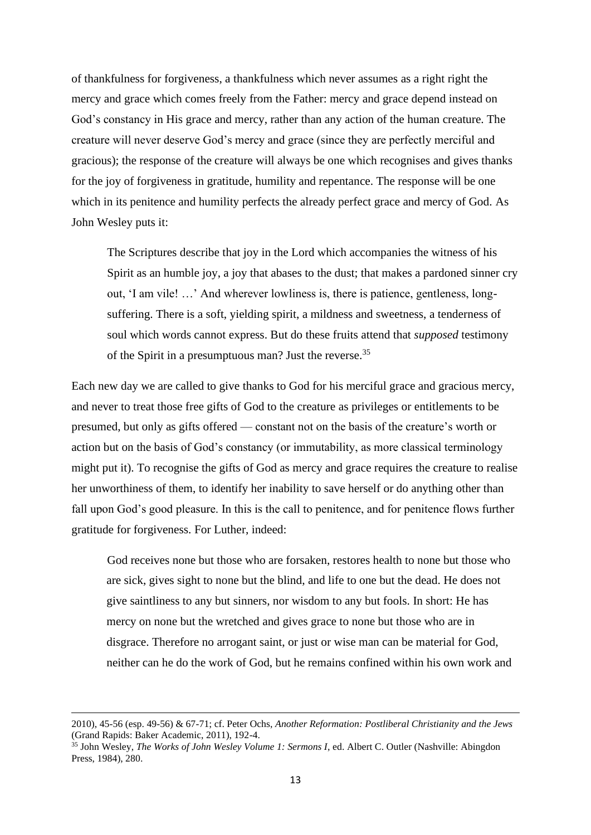of thankfulness for forgiveness, a thankfulness which never assumes as a right right the mercy and grace which comes freely from the Father: mercy and grace depend instead on God's constancy in His grace and mercy, rather than any action of the human creature. The creature will never deserve God's mercy and grace (since they are perfectly merciful and gracious); the response of the creature will always be one which recognises and gives thanks for the joy of forgiveness in gratitude, humility and repentance. The response will be one which in its penitence and humility perfects the already perfect grace and mercy of God. As John Wesley puts it:

The Scriptures describe that joy in the Lord which accompanies the witness of his Spirit as an humble joy, a joy that abases to the dust; that makes a pardoned sinner cry out, 'I am vile! …' And wherever lowliness is, there is patience, gentleness, longsuffering. There is a soft, yielding spirit, a mildness and sweetness, a tenderness of soul which words cannot express. But do these fruits attend that *supposed* testimony of the Spirit in a presumptuous man? Just the reverse.<sup>35</sup>

Each new day we are called to give thanks to God for his merciful grace and gracious mercy, and never to treat those free gifts of God to the creature as privileges or entitlements to be presumed, but only as gifts offered — constant not on the basis of the creature's worth or action but on the basis of God's constancy (or immutability, as more classical terminology might put it). To recognise the gifts of God as mercy and grace requires the creature to realise her unworthiness of them, to identify her inability to save herself or do anything other than fall upon God's good pleasure. In this is the call to penitence, and for penitence flows further gratitude for forgiveness. For Luther, indeed:

God receives none but those who are forsaken, restores health to none but those who are sick, gives sight to none but the blind, and life to one but the dead. He does not give saintliness to any but sinners, nor wisdom to any but fools. In short: He has mercy on none but the wretched and gives grace to none but those who are in disgrace. Therefore no arrogant saint, or just or wise man can be material for God, neither can he do the work of God, but he remains confined within his own work and

<sup>2010), 45-56 (</sup>esp. 49-56) & 67-71; cf. Peter Ochs, *Another Reformation: Postliberal Christianity and the Jews* (Grand Rapids: Baker Academic, 2011), 192-4.

<sup>35</sup> John Wesley, *The Works of John Wesley Volume 1: Sermons I*, ed. Albert C. Outler (Nashville: Abingdon Press, 1984), 280.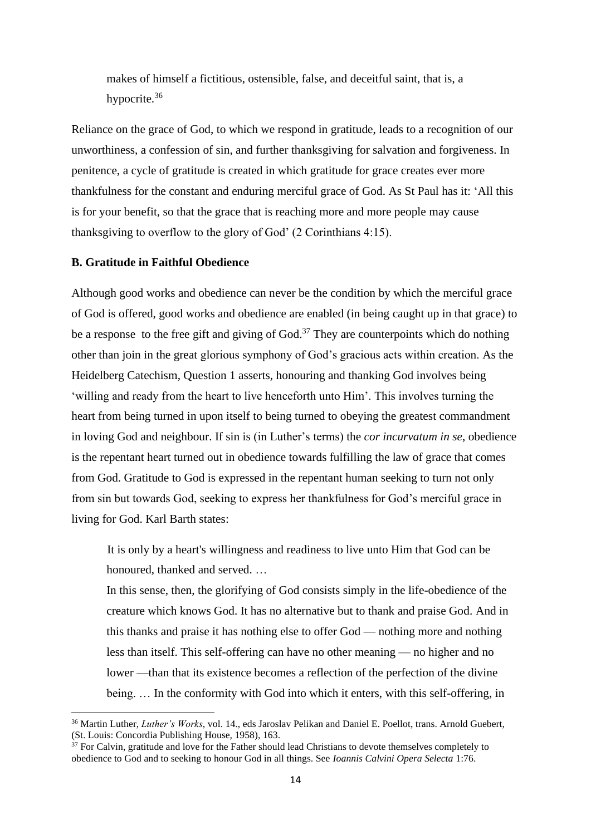makes of himself a fictitious, ostensible, false, and deceitful saint, that is, a hypocrite.<sup>36</sup>

Reliance on the grace of God, to which we respond in gratitude, leads to a recognition of our unworthiness, a confession of sin, and further thanksgiving for salvation and forgiveness. In penitence, a cycle of gratitude is created in which gratitude for grace creates ever more thankfulness for the constant and enduring merciful grace of God. As St Paul has it: 'All this is for your benefit, so that the grace that is reaching more and more people may cause thanksgiving to overflow to the glory of God' (2 Corinthians 4:15).

## **B. Gratitude in Faithful Obedience**

Although good works and obedience can never be the condition by which the merciful grace of God is offered, good works and obedience are enabled (in being caught up in that grace) to be a response to the free gift and giving of  $God.^37$  They are counterpoints which do nothing other than join in the great glorious symphony of God's gracious acts within creation. As the Heidelberg Catechism, Question 1 asserts, honouring and thanking God involves being 'willing and ready from the heart to live henceforth unto Him'. This involves turning the heart from being turned in upon itself to being turned to obeying the greatest commandment in loving God and neighbour. If sin is (in Luther's terms) the *cor incurvatum in se*, obedience is the repentant heart turned out in obedience towards fulfilling the law of grace that comes from God. Gratitude to God is expressed in the repentant human seeking to turn not only from sin but towards God, seeking to express her thankfulness for God's merciful grace in living for God. Karl Barth states:

It is only by a heart's willingness and readiness to live unto Him that God can be honoured, thanked and served. …

In this sense, then, the glorifying of God consists simply in the life-obedience of the creature which knows God. It has no alternative but to thank and praise God. And in this thanks and praise it has nothing else to offer God — nothing more and nothing less than itself. This self-offering can have no other meaning — no higher and no lower —than that its existence becomes a reflection of the perfection of the divine being. … In the conformity with God into which it enters, with this self-offering, in

<sup>36</sup> Martin Luther, *Luther's Works*, vol. 14., eds Jaroslav Pelikan and Daniel E. Poellot, trans. Arnold Guebert, (St. Louis: Concordia Publishing House, 1958), 163.

 $37$  For Calvin, gratitude and love for the Father should lead Christians to devote themselves completely to obedience to God and to seeking to honour God in all things. See *Ioannis Calvini Opera Selecta* 1:76.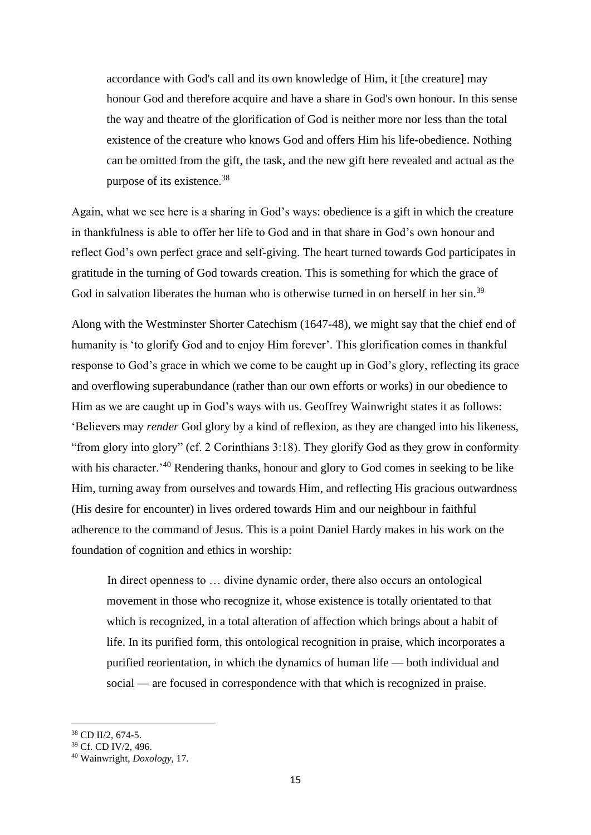accordance with God's call and its own knowledge of Him, it [the creature] may honour God and therefore acquire and have a share in God's own honour. In this sense the way and theatre of the glorification of God is neither more nor less than the total existence of the creature who knows God and offers Him his life-obedience. Nothing can be omitted from the gift, the task, and the new gift here revealed and actual as the purpose of its existence.<sup>38</sup>

Again, what we see here is a sharing in God's ways: obedience is a gift in which the creature in thankfulness is able to offer her life to God and in that share in God's own honour and reflect God's own perfect grace and self-giving. The heart turned towards God participates in gratitude in the turning of God towards creation. This is something for which the grace of God in salvation liberates the human who is otherwise turned in on herself in her sin.<sup>39</sup>

Along with the Westminster Shorter Catechism (1647-48), we might say that the chief end of humanity is 'to glorify God and to enjoy Him forever'. This glorification comes in thankful response to God's grace in which we come to be caught up in God's glory, reflecting its grace and overflowing superabundance (rather than our own efforts or works) in our obedience to Him as we are caught up in God's ways with us. Geoffrey Wainwright states it as follows: 'Believers may *render* God glory by a kind of reflexion, as they are changed into his likeness, "from glory into glory" (cf. 2 Corinthians 3:18). They glorify God as they grow in conformity with his character.<sup>40</sup> Rendering thanks, honour and glory to God comes in seeking to be like Him, turning away from ourselves and towards Him, and reflecting His gracious outwardness (His desire for encounter) in lives ordered towards Him and our neighbour in faithful adherence to the command of Jesus. This is a point Daniel Hardy makes in his work on the foundation of cognition and ethics in worship:

In direct openness to … divine dynamic order, there also occurs an ontological movement in those who recognize it, whose existence is totally orientated to that which is recognized, in a total alteration of affection which brings about a habit of life. In its purified form, this ontological recognition in praise, which incorporates a purified reorientation, in which the dynamics of human life — both individual and social — are focused in correspondence with that which is recognized in praise.

<sup>38</sup> CD II/2, 674-5.

<sup>39</sup> Cf. CD IV/2, 496.

<sup>40</sup> Wainwright, *Doxology*, 17.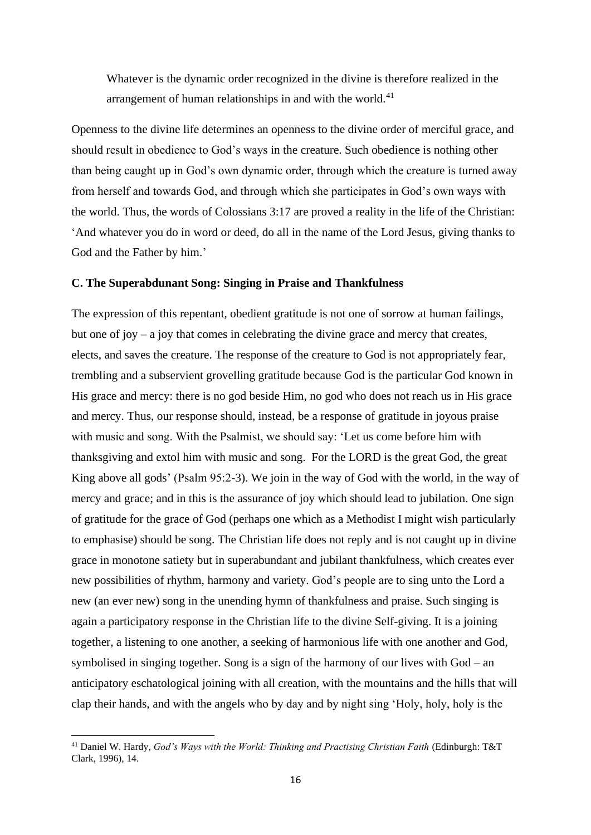Whatever is the dynamic order recognized in the divine is therefore realized in the arrangement of human relationships in and with the world.<sup>41</sup>

Openness to the divine life determines an openness to the divine order of merciful grace, and should result in obedience to God's ways in the creature. Such obedience is nothing other than being caught up in God's own dynamic order, through which the creature is turned away from herself and towards God, and through which she participates in God's own ways with the world. Thus, the words of Colossians 3:17 are proved a reality in the life of the Christian: 'And whatever you do in word or deed, do all in the name of the Lord Jesus, giving thanks to God and the Father by him.'

### **C. The Superabdunant Song: Singing in Praise and Thankfulness**

The expression of this repentant, obedient gratitude is not one of sorrow at human failings, but one of joy – a joy that comes in celebrating the divine grace and mercy that creates, elects, and saves the creature. The response of the creature to God is not appropriately fear, trembling and a subservient grovelling gratitude because God is the particular God known in His grace and mercy: there is no god beside Him, no god who does not reach us in His grace and mercy. Thus, our response should, instead, be a response of gratitude in joyous praise with music and song. With the Psalmist, we should say: 'Let us come before him with thanksgiving and extol him with music and song. For the LORD is the great God, the great King above all gods' (Psalm 95:2-3). We join in the way of God with the world, in the way of mercy and grace; and in this is the assurance of joy which should lead to jubilation. One sign of gratitude for the grace of God (perhaps one which as a Methodist I might wish particularly to emphasise) should be song. The Christian life does not reply and is not caught up in divine grace in monotone satiety but in superabundant and jubilant thankfulness, which creates ever new possibilities of rhythm, harmony and variety. God's people are to sing unto the Lord a new (an ever new) song in the unending hymn of thankfulness and praise. Such singing is again a participatory response in the Christian life to the divine Self-giving. It is a joining together, a listening to one another, a seeking of harmonious life with one another and God, symbolised in singing together. Song is a sign of the harmony of our lives with God – an anticipatory eschatological joining with all creation, with the mountains and the hills that will clap their hands, and with the angels who by day and by night sing 'Holy, holy, holy is the

<sup>41</sup> Daniel W. Hardy, *God's Ways with the World: Thinking and Practising Christian Faith* (Edinburgh: T&T Clark, 1996), 14.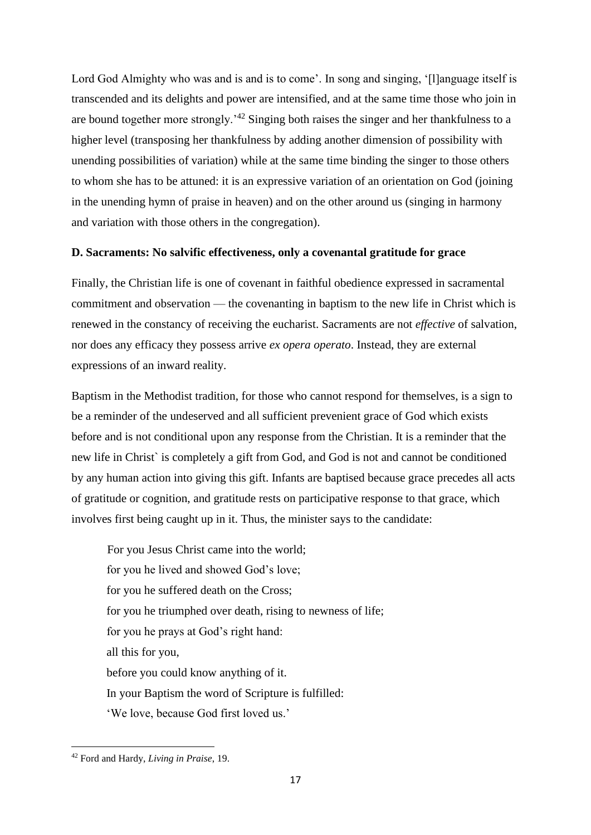Lord God Almighty who was and is and is to come'. In song and singing, '[l]anguage itself is transcended and its delights and power are intensified, and at the same time those who join in are bound together more strongly.'<sup>42</sup> Singing both raises the singer and her thankfulness to a higher level (transposing her thankfulness by adding another dimension of possibility with unending possibilities of variation) while at the same time binding the singer to those others to whom she has to be attuned: it is an expressive variation of an orientation on God (joining in the unending hymn of praise in heaven) and on the other around us (singing in harmony and variation with those others in the congregation).

# **D. Sacraments: No salvific effectiveness, only a covenantal gratitude for grace**

Finally, the Christian life is one of covenant in faithful obedience expressed in sacramental commitment and observation — the covenanting in baptism to the new life in Christ which is renewed in the constancy of receiving the eucharist. Sacraments are not *effective* of salvation, nor does any efficacy they possess arrive *ex opera operato*. Instead, they are external expressions of an inward reality.

Baptism in the Methodist tradition, for those who cannot respond for themselves, is a sign to be a reminder of the undeserved and all sufficient prevenient grace of God which exists before and is not conditional upon any response from the Christian. It is a reminder that the new life in Christ` is completely a gift from God, and God is not and cannot be conditioned by any human action into giving this gift. Infants are baptised because grace precedes all acts of gratitude or cognition, and gratitude rests on participative response to that grace, which involves first being caught up in it. Thus, the minister says to the candidate:

For you Jesus Christ came into the world; for you he lived and showed God's love; for you he suffered death on the Cross; for you he triumphed over death, rising to newness of life; for you he prays at God's right hand: all this for you, before you could know anything of it. In your Baptism the word of Scripture is fulfilled: 'We love, because God first loved us.'

<sup>42</sup> Ford and Hardy, *Living in Praise*, 19.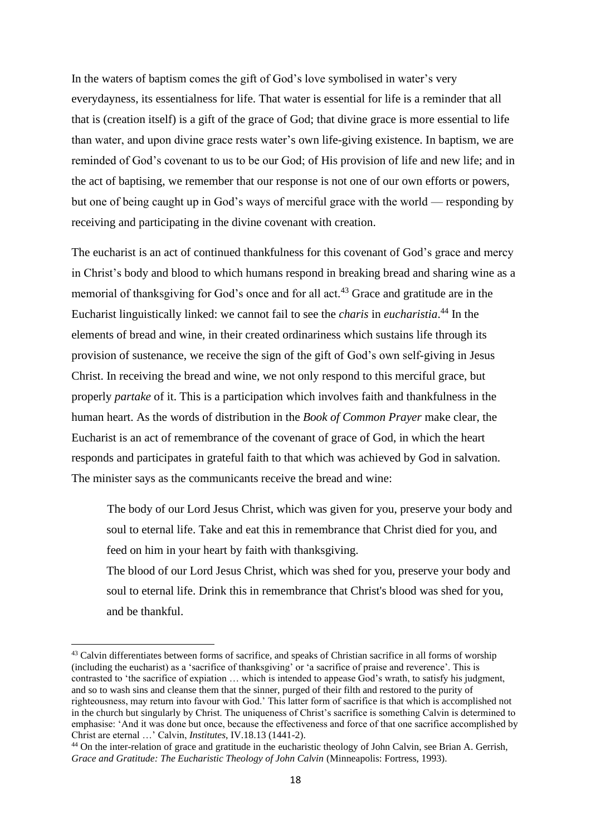In the waters of baptism comes the gift of God's love symbolised in water's very everydayness, its essentialness for life. That water is essential for life is a reminder that all that is (creation itself) is a gift of the grace of God; that divine grace is more essential to life than water, and upon divine grace rests water's own life-giving existence. In baptism, we are reminded of God's covenant to us to be our God; of His provision of life and new life; and in the act of baptising, we remember that our response is not one of our own efforts or powers, but one of being caught up in God's ways of merciful grace with the world — responding by receiving and participating in the divine covenant with creation.

The eucharist is an act of continued thankfulness for this covenant of God's grace and mercy in Christ's body and blood to which humans respond in breaking bread and sharing wine as a memorial of thanksgiving for God's once and for all act.<sup>43</sup> Grace and gratitude are in the Eucharist linguistically linked: we cannot fail to see the *charis* in *eucharistia*. <sup>44</sup> In the elements of bread and wine, in their created ordinariness which sustains life through its provision of sustenance, we receive the sign of the gift of God's own self-giving in Jesus Christ. In receiving the bread and wine, we not only respond to this merciful grace, but properly *partake* of it. This is a participation which involves faith and thankfulness in the human heart. As the words of distribution in the *Book of Common Prayer* make clear, the Eucharist is an act of remembrance of the covenant of grace of God, in which the heart responds and participates in grateful faith to that which was achieved by God in salvation. The minister says as the communicants receive the bread and wine:

The body of our Lord Jesus Christ, which was given for you, preserve your body and soul to eternal life. Take and eat this in remembrance that Christ died for you, and feed on him in your heart by faith with thanksgiving.

The blood of our Lord Jesus Christ, which was shed for you, preserve your body and soul to eternal life. Drink this in remembrance that Christ's blood was shed for you, and be thankful.

<sup>43</sup> Calvin differentiates between forms of sacrifice, and speaks of Christian sacrifice in all forms of worship (including the eucharist) as a 'sacrifice of thanksgiving' or 'a sacrifice of praise and reverence'. This is contrasted to 'the sacrifice of expiation … which is intended to appease God's wrath, to satisfy his judgment, and so to wash sins and cleanse them that the sinner, purged of their filth and restored to the purity of righteousness, may return into favour with God.' This latter form of sacrifice is that which is accomplished not in the church but singularly by Christ. The uniqueness of Christ's sacrifice is something Calvin is determined to emphasise: 'And it was done but once, because the effectiveness and force of that one sacrifice accomplished by Christ are eternal …' Calvin, *Institutes*, IV.18.13 (1441-2).

<sup>44</sup> On the inter-relation of grace and gratitude in the eucharistic theology of John Calvin, see Brian A. Gerrish, *Grace and Gratitude: The Eucharistic Theology of John Calvin* (Minneapolis: Fortress, 1993).